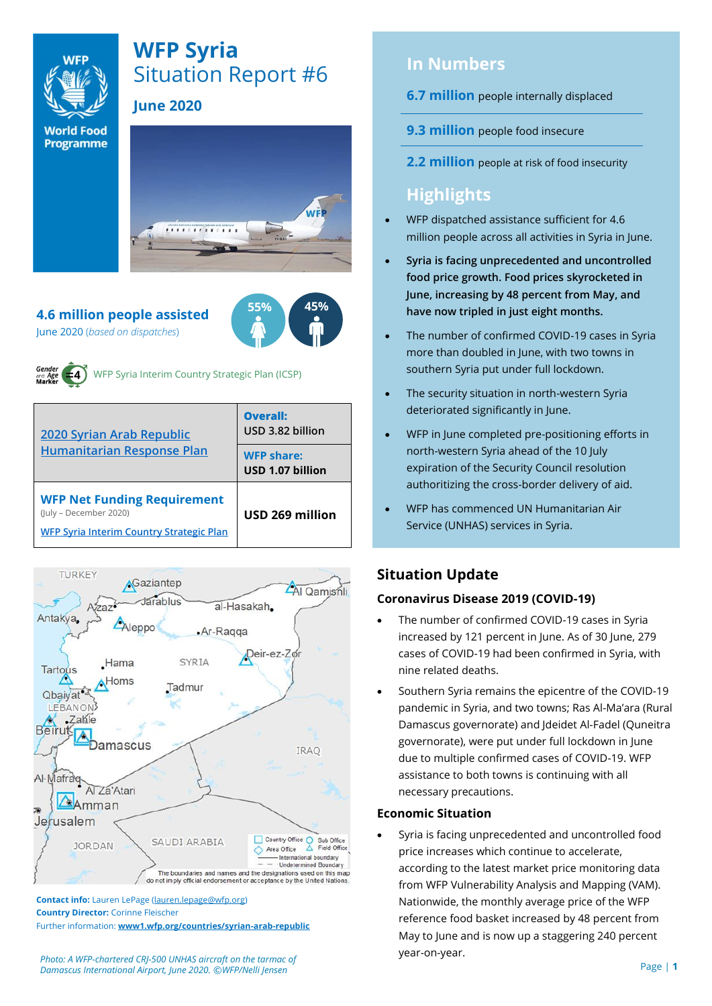

# **WFP Syria** Situation Report #6

## **June 2020**

**World Food Programme** 



**55% 45%**

## **4.6 million people assisted**

June 2020 (*based on dispatches*)



WFP Syria Interim Country Strategic Plan (ICSP)

| 2020 Syrian Arab Republic<br><b>Humanitarian Response Plan</b>                                           | Overall:<br>USD 3.82 billion<br><b>WFP share:</b><br>USD 1.07 billion |
|----------------------------------------------------------------------------------------------------------|-----------------------------------------------------------------------|
| <b>WFP Net Funding Requirement</b><br>(July - December 2020)<br>WFP Syria Interim Country Strategic Plan | USD 269 million                                                       |



**Contact info:** Lauren LePage [\(lauren.lepage@wfp.org\)](mailto:lauren.lepage@wfp.org) **Country Director:** Corinne Fleischer Further information: **[www1.wfp.org/countries/syrian-arab-republic](file:///C:/Users/lauren.lepage/AppData/Local/Microsoft/Windows/INetCache/Content.Outlook/HTRVWXQN/www1.wfp.org/countries/syrian-arab-republic)**

## **In Numbers**

**6.7 million** people internally displaced

- **9.3 million** people food insecure
- **2.2 million** people at risk of food insecurity

## **Highlights**

- WFP dispatched assistance sufficient for 4.6 million people across all activities in Syria in June.
- **Syria is facing unprecedented and uncontrolled food price growth. Food prices skyrocketed in June, increasing by 48 percent from May, and have now tripled in just eight months.**
- The number of confirmed COVID-19 cases in Syria more than doubled in June, with two towns in southern Syria put under full lockdown.
- The security situation in north-western Syria deteriorated significantly in June.
- WFP in June completed pre-positioning efforts in north-western Syria ahead of the 10 July expiration of the Security Council resolution authoritizing the cross-border delivery of aid.
- WFP has commenced UN Humanitarian Air Service (UNHAS) services in Syria.

## **Situation Update**

#### **Coronavirus Disease 2019 (COVID-19)**

- The number of confirmed COVID-19 cases in Syria increased by 121 percent in June. As of 30 June, 279 cases of COVID-19 had been confirmed in Syria, with nine related deaths.
- Southern Syria remains the epicentre of the COVID-19 pandemic in Syria, and two towns; Ras Al-Ma'ara (Rural Damascus governorate) and Jdeidet Al-Fadel (Quneitra governorate), were put under full lockdown in June due to multiple confirmed cases of COVID-19. WFP assistance to both towns is continuing with all necessary precautions.

#### **Economic Situation**

• Syria is facing unprecedented and uncontrolled food price increases which continue to accelerate, according to the latest market price monitoring data from WFP Vulnerability Analysis and Mapping (VAM). Nationwide, the monthly average price of the WFP reference food basket increased by 48 percent from May to June and is now up a staggering 240 percent year-on-year.

*Photo: A WFP-chartered CRJ-500 UNHAS aircraft on the tarmac of Damascus International Airport, June 2020. ©WFP/Nelli Jensen*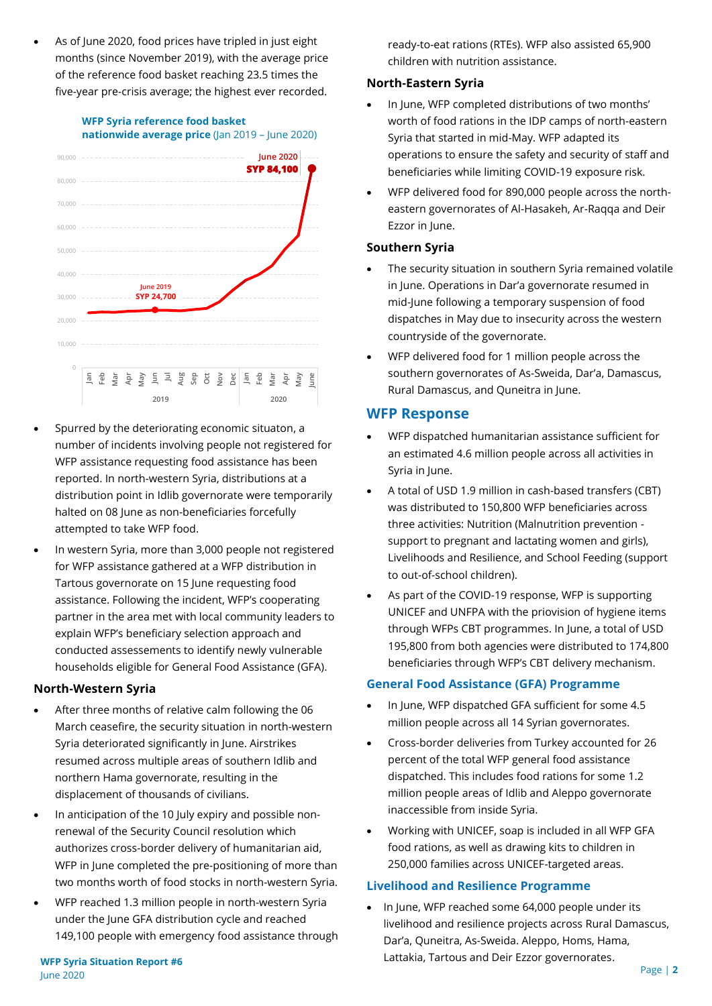As of June 2020, food prices have tripled in just eight months (since November 2019), with the average price of the reference food basket reaching 23.5 times the five-year pre-crisis average; the highest ever recorded.



- Spurred by the deteriorating economic situaton, a number of incidents involving people not registered for WFP assistance requesting food assistance has been reported. In north-western Syria, distributions at a distribution point in Idlib governorate were temporarily halted on 08 June as non-beneficiaries forcefully attempted to take WFP food.
- In western Syria, more than 3,000 people not registered for WFP assistance gathered at a WFP distribution in Tartous governorate on 15 June requesting food assistance. Following the incident, WFP's cooperating partner in the area met with local community leaders to explain WFP's beneficiary selection approach and conducted assessements to identify newly vulnerable households eligible for General Food Assistance (GFA).

#### **North-Western Syria**

- After three months of relative calm following the 06 March ceasefire, the security situation in north-western Syria deteriorated significantly in June. Airstrikes resumed across multiple areas of southern Idlib and northern Hama governorate, resulting in the displacement of thousands of civilians.
- In anticipation of the 10 July expiry and possible nonrenewal of the Security Council resolution which authorizes cross-border delivery of humanitarian aid, WFP in June completed the pre-positioning of more than two months worth of food stocks in north-western Syria.
- WFP reached 1.3 million people in north-western Syria under the June GFA distribution cycle and reached 149,100 people with emergency food assistance through

ready-to-eat rations (RTEs). WFP also assisted 65,900 children with nutrition assistance.

#### **North-Eastern Syria**

- In June, WFP completed distributions of two months' worth of food rations in the IDP camps of north-eastern Syria that started in mid-May. WFP adapted its operations to ensure the safety and security of staff and beneficiaries while limiting COVID-19 exposure risk.
- WFP delivered food for 890,000 people across the northeastern governorates of Al-Hasakeh, Ar-Raqqa and Deir Ezzor in June.

#### **Southern Syria**

- The security situation in southern Syria remained volatile in June. Operations in Dar'a governorate resumed in mid-June following a temporary suspension of food dispatches in May due to insecurity across the western countryside of the governorate.
- WFP delivered food for 1 million people across the southern governorates of As-Sweida, Dar'a, Damascus, Rural Damascus, and Quneitra in June.

#### **WFP Response**

- WFP dispatched humanitarian assistance sufficient for an estimated 4.6 million people across all activities in Syria in June.
- A total of USD 1.9 million in cash-based transfers (CBT) was distributed to 150,800 WFP beneficiaries across three activities: Nutrition (Malnutrition prevention support to pregnant and lactating women and girls), Livelihoods and Resilience, and School Feeding (support to out-of-school children).
- As part of the COVID-19 response, WFP is supporting UNICEF and UNFPA with the priovision of hygiene items through WFPs CBT programmes. In June, a total of USD 195,800 from both agencies were distributed to 174,800 beneficiaries through WFP's CBT delivery mechanism.

#### **General Food Assistance (GFA) Programme**

- In June, WFP dispatched GFA sufficient for some 4.5 million people across all 14 Syrian governorates.
- Cross-border deliveries from Turkey accounted for 26 percent of the total WFP general food assistance dispatched. This includes food rations for some 1.2 million people areas of Idlib and Aleppo governorate inaccessible from inside Syria.
- Working with UNICEF, soap is included in all WFP GFA food rations, as well as drawing kits to children in 250,000 families across UNICEF-targeted areas.

#### **Livelihood and Resilience Programme**

• In June, WFP reached some 64,000 people under its livelihood and resilience projects across Rural Damascus, Dar'a, Quneitra, As-Sweida. Aleppo, Homs, Hama, Lattakia, Tartous and Deir Ezzor governorates.